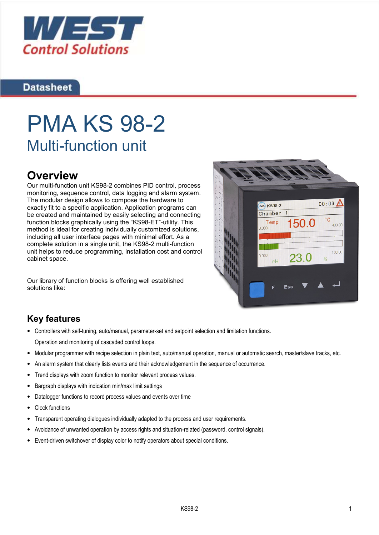

## **Datasheet**

# PMA KS 98-2 Multi-function unit

# **Overview**

Our multi-function unit KS98-2 combines PID control, process monitoring, sequence control, data logging and alarm system. The modular design allows to compose the hardware to exactly fit to a specific application. Application programs can be created and maintained by easily selecting and connecting function blocks graphically using the "KS98-ET"-utility. This method is ideal for creating individually customized solutions, including all user interface pages with minimal effort. As a complete solution in a single unit, the KS98-2 multi-function unit helps to reduce programming, installation cost and control cabinet space.

Our library of function blocks is offering well established solutions like:



# Key features

- Controllers with self-tuning, auto/manual, parameter-set and setpoint selection and limitation functions. Operation and monitoring of cascaded control loops.
- Modular programmer with recipe selection in plain text, auto/manual operation, manual or automatic search, master/slave tracks, etc.
- An alarm system that clearly lists events and their acknowledgement in the sequence of occurrence.
- Trend displays with zoom function to monitor relevant process values.
- Bargraph displays with indication min/max limit settings
- Datalogger functions to record process values and events over time
- Clock functions
- Transparent operating dialogues individually adapted to the process and user requirements.
- Avoidance of unwanted operation by access rights and situation-related (password, control signals).
- Event-driven switchover of display color to notify operators about special conditions.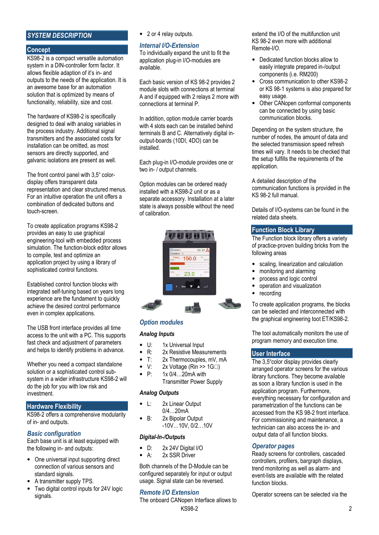#### SYSTEM DESCRIPTION

#### Concept

KS98-2 is a compact versatile automation system in a DIN-controller form factor. It allows flexible adaption of it's in- and outputs to the needs of the application. It is an awesome base for an automation solution that is optimized by means of functionality, reliability, size and cost.

The hardware of KS98-2 is specifically designed to deal with analog variables in the process industry. Additional signal transmitters and the associated costs for installation can be omitted, as most sensors are directly supported, and galvanic isolations are present as well.

The front control panel with 3,5" colordisplay offers transparent data representation and clear structured menus. For an intuitive operation the unit offers a combination of dedicated buttons and touch-screen.

To create application programs KS98-2 provides an easy to use graphical engineering-tool with embedded process simulation. The function-block editor allows to compile, test and optimize an application project by using a library of sophisticated control functions.

Established control function blocks with integrated self-tuning based on years long experience are the fundament to quickly achieve the desired control performance even in complex applications.

The USB front interface provides all time access to the unit with a PC. This supports fast check and adjustment of parameters and helps to identify problems in advance.

Whether you need a compact standalone solution or a sophisticated control subsystem in a wider infrastructure KS98-2 will do the job for you with low risk and investment.

#### Hardware Flexibility

KS98-2 offers a comprehensive modularity of in- and outputs.

#### Basic configuration

Each base unit is at least equipped with the following in- and outputs:

- One universal input supporting direct connection of various sensors and standard signals.
- A transmitter supply TPS.
- Two digital control inputs for 24V logic signals.

• 2 or 4 relay outputs.

#### Internal I/O-Extension

To individually expand the unit to fit the application plug-in I/O-modules are available.

Each basic version of KS 98-2 provides 2 module slots with connections at terminal A and if equipped with 2 relays 2 more with connections at terminal P.

In addition, option module carrier boards with 4 slots each can be installed behind terminals B and C. Alternatively digital inoutput-boards (10DI, 4DO) can be installed.

Each plug-in I/O-module provides one or two in- / output channels.

Option modules can be ordered ready installed with a KS98-2 unit or as a separate accessory. Installation at a later state is always possible without the need of calibration.



#### Option modules

#### Analog Inputs

- U:  $1x$  Universal Input<br>• R:  $2x$  Resistive Meas
- $R: 2x$  Resistive Measurements<br> $T: 2x$  Thermocouples mV mA
- T: 2x Thermocouples, mV, mA
- V:  $2x$  Voltage (Rin >> 1G $\Omega$ )<br>• P: 1x 0/4 20mA with
- P: 1x 0/4…20mA with Transmitter Power Supply

#### Analog Outputs

- L: 2x Linear Output 0/4…20mA
- B: 2x Bipolar Output -10V…10V, 0/2…10V

#### Digital-In-/Outputs

- D: 2x 24V Digital I/O
- A: 2x SSR Driver

Both channels of the D-Module can be configured separately for input or output usage. Signal state can be reversed.

#### Remote I/O Extension

**KS98-2** 2 The onboard CANopen Interface allows to

extend the I/O of the multifunction unit KS 98-2 even more with additional Remote-I/O.

- Dedicated function blocks allow to easily integrate prepared in-/output components (i.e. RM200)
- Cross communication to other KS98-2 or KS 98-1 systems is also prepared for easy usage.
- Other CANopen conformal components can be connected by using basic communication blocks.

Depending on the system structure, the number of nodes, the amount of data and the selected transmission speed refresh times will vary. It needs to be checked that the setup fulfills the requirements of the application.

A detailed description of the communication functions is provided in the KS 98-2 full manual.

Details of I/O-systems can be found in the related data sheets.

#### Function Block Library

The Function block library offers a variety of practice-proven building bricks from the following areas

- scaling, linearization and calculation
- monitoring and alarming
- process and logic control
- operation and visualization
- recording

To create application programs, the blocks can be selected and interconnected with the graphical engineering toot ET/KS98-2.

The tool automatically monitors the use of program memory and execution time.

#### User Interface

The 3,5"color display provides clearly arranged operator screens for the various library functions. They become available as soon a library function is used in the application program. Furthermore, everything necessary for configuration and parametrization of the functions can be accessed from the KS 98-2 front interface. For commissioning and maintenance, a technician can also access the in- and output data of all function blocks.

#### Operator pages

Ready screens for controllers, cascaded controllers, profilers, bargraph displays, trend monitoring as well as alarm- and event-lists are available with the related function blocks.

Operator screens can be selected via the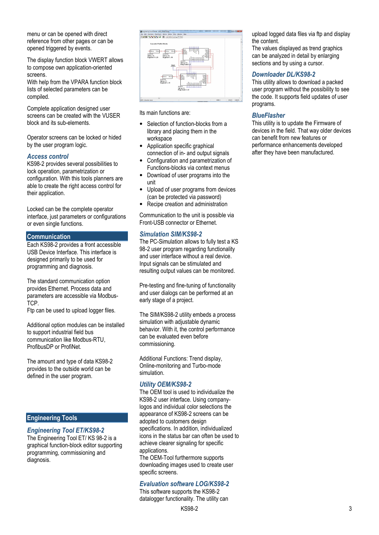menu or can be opened with direct reference from other pages or can be opened triggered by events.

The display function block VWERT allows to compose own application-oriented screens.

With help from the VPARA function block lists of selected parameters can be compiled.

Complete application designed user screens can be created with the VUSER block and its sub-elements.

Operator screens can be locked or hided by the user program logic.

#### Access control

KS98-2 provides several possibilities to lock operation, parametrization or configuration. With this tools planners are able to create the right access control for their application.

Locked can be the complete operator interface, just parameters or configurations or even single functions.

#### Communication

Each KS98-2 provides a front accessible USB Device Interface. This interface is designed primarily to be used for programming and diagnosis.

The standard communication option provides Ethernet. Process data and parameters are accessible via Modbus-TCP.

Ftp can be used to upload logger files.

Additional option modules can be installed to support industrial field bus communication like Modbus-RTU, ProfibusDP or ProfiNet.

The amount and type of data KS98-2 provides to the outside world can be defined in the user program.

#### Engineering Tools

#### Engineering Tool ET/KS98-2

The Engineering Tool ET/ KS 98-2 is a graphical function-block editor supporting programming, commissioning and diagnosis.



Its main functions are:

- Selection of function-blocks from a library and placing them in the workspace
- Application specific graphical connection of in- and output signals
- Configuration and parametrization of Functions-blocks via context menus
- Download of user programs into the unit
- Upload of user programs from devices (can be protected via password)
- Recipe creation and administration

Communication to the unit is possible via Front-USB connector or Ethernet.

#### Simulation SIM/KS98-2

The PC-Simulation allows to fully test a KS 98-2 user program regarding functionality and user interface without a real device. Input signals can be stimulated and resulting output values can be monitored.

Pre-testing and fine-tuning of functionality and user dialogs can be performed at an early stage of a project.

The SIM/KS98-2 utility embeds a process simulation with adjustable dynamic behavior. With it, the control performance can be evaluated even before commissioning.

Additional Functions: Trend display, Online-monitoring and Turbo-mode simulation.

#### Utility OEM/KS98-2

The OEM tool is used to individualize the KS98-2 user interface. Using companylogos and individual color selections the appearance of KS98-2 screens can be adopted to customers design specifications. In addition, individualized icons in the status bar can often be used to achieve clearer signaling for specific applications.

The OEM-Tool furthermore supports downloading images used to create user specific screens.

#### Evaluation software LOG/KS98-2

This software supports the KS98-2 datalogger functionality. The utility can upload logged data files via ftp and display the content.

The values displayed as trend graphics can be analyzed in detail by enlarging sections and by using a cursor.

#### Downloader DL/KS98-2

This utility allows to download a packed user program without the possibility to see the code. It supports field updates of user programs.

#### **BlueFlasher**

This utility is to update the Firmware of devices in the field. That way older devices can benefit from new features or performance enhancements developed after they have been manufactured.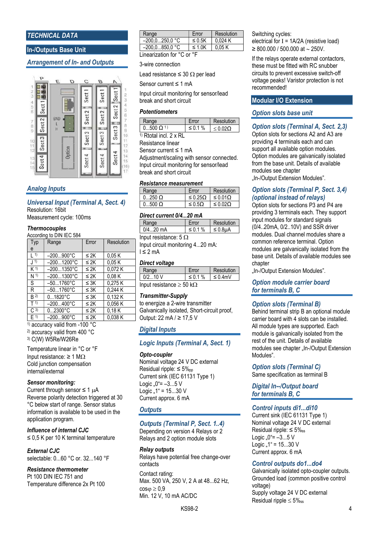#### TECHNICAL DATA

#### In-/Outputs Base Unit

#### Arrangement of In- and Outputs



#### Analog Inputs

#### Universal Input (Terminal A, Sect. 4) Resolution: 16bit

Measurement cycle: 100ms

#### **Thermocouples**

#### According to DIN IEC 584

| Typ              | Range                | Error     | Resolution |
|------------------|----------------------|-----------|------------|
| e                |                      |           |            |
| $\vert$ 1)       | $-200900^{\circ}C$   | $\leq 2K$ | 0.05K      |
| $\left(1\right)$ | $-2001200^{\circ}C$  | $\leq 2K$ | 0.05K      |
| $K$ 1)           | $-2001350^{\circ}$ C | $\leq$ 2K | 0,072K     |
| N <sup>1</sup>   | $-2001300^{\circ}C$  | $\leq 2K$ | 0.08K      |
| S                | $-501760^{\circ}$ C  | $\leq 3K$ | 0.275K     |
| R                | $-501760^{\circ}$ C  | $\leq 3K$ | 0.244 K    |
| $B^{2)}$         | $01820^{\circ}C$     | $\leq 3K$ | 0,132K     |
| T(1)             | $-200400^{\circ}C$   | $\leq$ 2K | 0,056K     |
| $C^{(3)}$        | $02300^{\circ}C$     | $\leq$ 2K | 0.18K      |
| F(1)             | $-200900^{\circ}C$   | $\leq 2K$ | 0.038K     |

1) accuracy valid from -100 °C

2) accuracy valid from 400 °C

3) C(W) W5Re/W26Re

Temperature linear in °C or °F Input resistance:  $\geq 1$  M $\Omega$ Cold junction compensation internal/external

#### Sensor monitoring:

Current through sensor  $\leq 1 \mu A$ Reverse polarity detection triggered at 30 °C below start of range. Sensor status information is available to be used in the application program.

Influence of internal CJC ≤ 0,5 K per 10 K terminal temperature

#### External CJC

selectable: 0...60 °C or. 32...140 °F

#### Resistance thermometer

Pt 100 DIN IEC 751 and Temperature difference 2x Pt 100

| Range                      | Error       | Resolution |  |
|----------------------------|-------------|------------|--|
| $-200.0250.0 °C$           | $\leq$ 0.5K | 0.024K     |  |
| $-200.0850.0 °C$           | $\leq 1.0K$ | 0.05K      |  |
| Linearization for °C or °F |             |            |  |

#### 3-wire connection

Lead resistance  $\leq$  30  $\Omega$  per lead

Sensor current ≤ 1 mA

Input circuit monitoring for sensor/lead break and short circuit

#### **Potentiometers**

| ange                 | $r$ n         | Resolution        |
|----------------------|---------------|-------------------|
| $(1.500 \Omega^{1})$ | $\leq 0.1 \%$ | $<$ 0.02 $\Omega$ |
| .                    |               |                   |

1) Rtotal incl. 2 x RL

Resistance linear Sensor current ≤ 1 mA

Adjustment/scaling with sensor connected. Input circuit monitoring for sensor/lead break and short circuit

#### Resistance measurement

| Range     | Error              | Resolution      |
|-----------|--------------------|-----------------|
| $0.250$ O | $\leq 0.25 \Omega$ | ≤ 0.01Ω         |
| $-500$ O  | $\leq 0.5$ O       | ≤ 0.02 $\Omega$ |

#### Direct current 0/4...20 mA

| Range                        | Error       | Resolution      |
|------------------------------|-------------|-----------------|
| $0/420$ mA                   | $\leq$ 0.1% | $\leq 0.8\mu A$ |
| Input resistance: $5 \Omega$ |             |                 |

Input circuit monitoring 4...20 mA:  $1 \leq 2$  mA

#### Direct voltage

| <b>Range</b> | $C$ rror    | Resolution    |  |
|--------------|-------------|---------------|--|
| $0/2$ 10 V   | $\leq$ 0.1% | $\leq 0.4$ mV |  |
| 1.00         |             |               |  |

Input resistance  $\geq 50$  k $\Omega$ 

#### Transmitter-Supply

to energize a 2-wire transmitter Galvanically isolated, Short-circuit proof, Output: 22 mA / ≥ 17,5 V

#### Digital Inputs

#### Logic Inputs (Terminal A, Sect. 1)

Opto-coupler

Nominal voltage 24 V DC external Residual ripple:  $\leq 5\%$ <sub>pp</sub> Current sink (IEC 61131 Type 1) Logic  $.0^{\circ}$  =  $-3...5$  V Logic  $.1$ " = 15 $...30$  V Current approx. 6 mA

#### **Outputs**

#### Outputs (Terminal P, Sect. 1..4)

Depending on version 4 Relays or 2 Relays and 2 option module slots

#### Relay outputs

Relays have potential free change-over contacts

Contact rating: Max. 500 VA, 250 V, 2 A at 48...62 Hz,  $cos \phi \geq 0.9$ Min. 12 V, 10 mA AC/DC

Switching cycles: electrical for  $I = 1A/2A$  (resistive load)  $\geq 800.000 / 500.000$  at  $\sim 250$ V.

If the relays operate external contactors, these must be fitted with RC snubber circuits to prevent excessive switch-off voltage peaks! Varistor protection is not recommended!

#### Modular I/O Extension

#### Option slots base unit

#### Option slots (Terminal A, Sect. 2,3)

Option slots for sections A2 and A3 are providing 4 terminals each and can support all available option modules. Option modules are galvanically isolated from the base unit. Details of available modules see chapter

"In-/Output Extension Modules".

#### Option slots (Terminal P, Sect. 3,4) (optional instead of relays)

Option slots for sections P3 and P4 are providing 3 terminals each. They support input modules for standard signals (0/4..20mA, 0/2..10V) and SSR driver modules. Dual channel modules share a common reference terminal. Option modules are galvanically isolated from the base unit. Details of available modules see chapter

"In-/Output Extension Modules".

Option module carrier board for terminals B, C

#### Option slots (Terminal B)

Behind terminal strip B an optional module carrier board with 4 slots can be installed. All module types are supported. Each module is galvanically isolated from the rest of the unit. Details of available modules see chapter ..In-/Output Extension Modules".

Option slots (Terminal C)

Same specification as terminal B

Digital In--/Output board for terminals B, C

#### Control inputs di1...di10

Current sink (IEC 61131 Type 1) Nominal voltage 24 V DC external Residual ripple:  $\leq 5\%_{ss}$ Logic  $.0^{\circ}$  =  $-3...5$  V Logic  $.1$ " = 15...30 V Current approx. 6 mA

#### Control outputs do1...do4

Galvanically isolated opto-coupler outputs. Grounded load (common positive control voltage) Supply voltage 24 V DC external Residual ripple  $\leq 5\%$ ss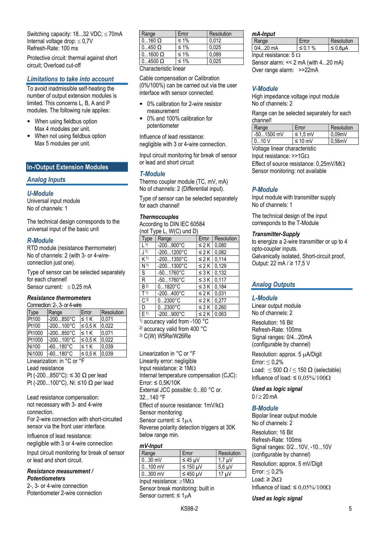Switching capacity:  $18...32$  VDC;  $\leq 70$ mA Internal voltage drop:  $\leq 0.7$ V Refresh-Rate: 100 ms

Protective circuit: thermal against short circuit; Overload cut-off

#### Limitations to take into account

To avoid inadmissible self-heating the number of output extension modules is limited. This concerns L, B, A and P modules. The following rule applies:

- When using fieldbus option Max 4 modules per unit.
- When not using fieldbus option Max 5 modules per unit.

#### In-/Output Extension Modules

#### Analog Inputs

#### U-Module

Universal input module No of channels: 1

The technical design corresponds to the universal input of the basic unit

#### R-Module

RTD module (resistance thermometer) No of channels: 2 (with 3- or 4-wireconnection just one).

Type of sensor can be selected separately for each channel! Sensor current:  $\leq 0.25$  mA

#### Resistance thermometers

#### Connection: 2-, 3- or 4-wire

| Type                                            | Range              | Error        | Resolution     |  |
|-------------------------------------------------|--------------------|--------------|----------------|--|
| Pt100                                           | -200850°C          | $\leq 1$ K   | 0,071          |  |
| Pt100                                           | l-200100°C         | $\leq 0.5$ K | 0,022          |  |
| Pt1000                                          | l-200850°C         | $\leq 1$ K   | $\sqrt{0,071}$ |  |
| Pt1000                                          | l-200100°C         | $\leq 0.5$ K | 0,022          |  |
| Ni100                                           | $-60180^{\circ}$ C | $\leq 1$ K   | 0.039          |  |
| Ni1000                                          | $-60180^{\circ}C$  | $\leq 0.5 K$ | 0.039          |  |
| Linearization: in °C or °F                      |                    |              |                |  |
| Lead resistance                                 |                    |              |                |  |
| Pt (-200850°C): $\leq$ 30 $\Omega$ per lead     |                    |              |                |  |
| Pt (-200100°C), Ni: $\leq$ 10 $\Omega$ per lead |                    |              |                |  |

Lead resistance compensation: not necessary with 3- and 4-wire connection.

For 2-wire connection with short-circuited sensor via the front user interface.

Influence of lead resistance: negligible with 3 or 4-wire connection

Input circuit monitoring for break of sensor or lead and short circuit.

#### Resistance measurement / **Potentiometers**

2-, 3- or 4-wire connection Potentiometer 2-wire connection

| Range                 | Error      | Resolution |
|-----------------------|------------|------------|
| $\vert$ 0160 $\Omega$ | $\leq 1\%$ | 0.012      |
| $0450$ $\Omega$       | ≤ 1%       | 0.025      |
| $01600 \Omega$        | $\leq 1\%$ | 0,089      |
| $04500 \Omega$        | $≤ 1%$     | 0.025      |
| $\sim$<br>.<br>       |            |            |

Characteristic linear

Cable compensation or Calibration (0%/100%) can be carried out via the user interface with sensor connected.

- 0% calibration for 2-wire resistor measurement
- 0% and 100% calibration for potentiometer

Influence of lead resistance: negligible with 3 or 4-wire connection.

Input circuit monitoring for break of sensor or lead and short circuit

#### T-Module

Thermo coupler module (TC, mV, mA) No of channels: 2 (Differential input).

Type of sensor can be selected separately for each channel!

#### **Thermocouples**

According to DIN IEC 60584  $($ not Type L, W $(C)$  und D)

| $1101 + 1900$ L, $1100 - 190$ |                     |            |            |
|-------------------------------|---------------------|------------|------------|
| Type                          | Range               | Error      | Resolution |
| $\vert$ 1)                    | -200900°C           | $\leq 2 K$ | 0,080      |
| J <sub>1</sub>                | $-2001200^{\circ}C$ | $\leq 2 K$ | 0,082      |
| K <sup>1</sup>                | -2001350°C          | $\leq$ 2 K | 0,114      |
| N <sup>1</sup>                | $-2001300^{\circ}C$ | $\leq$ 2 K | 0.129      |
| S                             | -501760°C           | $\leq 3K$  | 0,132      |
| R                             | $-501760^{\circ}C$  | $\leq 3K$  | 0,117      |
| B <sub>2</sub>                | $01820^{\circ}$ C   | $\leq 3K$  | 0.184      |
| T <sup>1</sup>                | $-200400^{\circ}C$  | $\leq$ 2 K | 0,031      |
| $C^{3}$                       | $02300^{\circ}C$    | $\leq$ 2 K | 0,277      |
| D                             | $02300^{\circ}C$    | $\leq 2K$  | 0.260      |
| F(1)                          | $-200900^{\circ}C$  | $\leq$ 2 K | 0.063      |

1) accuracy valid from -100 °C 2) accuracy valid from 400 °C 3) C(W) W5Re/W26Re

Linearization in °C or °F Linearity error: negligible Input resistance:  $\geq 1 \text{M}\Omega$ Internal temperature compensation (CJC): Error:  $\leq$  0,5K/10K External JCC possible: 0...60 °C or. 32...140 °F Effect of source resistance:  $1mV/k\Omega$ Sensor monitoring: Sensor current:  $\leq 1 \mu A$ Reverse polarity detection triggers at 30K below range min.

#### mV-Input

| Range                                     | Error      | Resolution                |
|-------------------------------------------|------------|---------------------------|
| $030$ mV                                  | ≤ 45 uV    | $1.7 \text{ uV}$          |
| $0100$ mV                                 | $≤ 150$ µV | $5.6 \text{ }\mu\text{V}$ |
| $0300$ mV                                 | $≤ 450$ µV | 17 uV                     |
| $\sim$ $\sim$ $\sim$ $\sim$ $\sim$ $\sim$ |            |                           |

Input resistance:  $\geq 1M\Omega$ Sensor break monitoring: built in Sensor current:  $\leq 1 \mu A$ 

#### mA-Input

|                              | Range      | . Error       | Resolution    |  |
|------------------------------|------------|---------------|---------------|--|
|                              | $0/420$ mA | $\leq 0.1 \%$ | $\leq 0.8$ µA |  |
| Input resistance: $5 \Omega$ |            |               |               |  |

Sensor alarm: << 2 mA (with 4...20 mA) Over range alarm: >>22mA

#### V-Module

High impedance voltage input module No of channels: 2

Range can be selected separately for each channel!

| Range        | Error         | Resolution |
|--------------|---------------|------------|
| $-501500$ mV | $\leq 1.5$ mV | 0.09mV     |
| $010$ V      | ≤ 10 mV       | 0.56mV     |
|              |               |            |

Voltage linear characteristic Input resistance:  $>>1G\Omega$ Effect of source resistance:  $0.25$ mV/M $\Omega$ Sensor monitoring: not available

#### P-Module

Input module with transmitter supply No of channels: 1

The technical design of the input corresponds to the T-Module

#### Transmitter-Supply

to energize a 2-wire transmitter or up to 4 opto-coupler inputs. Galvanically isolated, Short-circuit proof, Output: 22 mA / ≥ 17,5 V

#### Analog Outputs

#### L-Module

Linear output module No of channels: 2

Resolution: 16 Bit Refresh-Rate: 100ms Signal ranges: 0/4...20mA (configurable by channel)

Resolution: approx. 5 µA/Digit Error:  $\leq 0.2\%$ Load:  $\leq 500 \Omega / \leq 150 \Omega$  (selectable) Influence of load:  $\leq 0.05\%/100\Omega$ 

Used as logic signal  $0$  /  $> 20$  mA

#### B-Module

Bipolar linear output module No of channels: 2 Resolution: 16 Bit Refresh-Rate: 100ms Signal ranges: 0/2...10V, -10...10V (configurable by channel) Resolution: approx. 5 mV/Digit

Error:  $\leq 0.2\%$ Load: ≥ 2k $Ω$ Influence of load:  $\leq 0.05\%/100\Omega$ 

Used as logic signal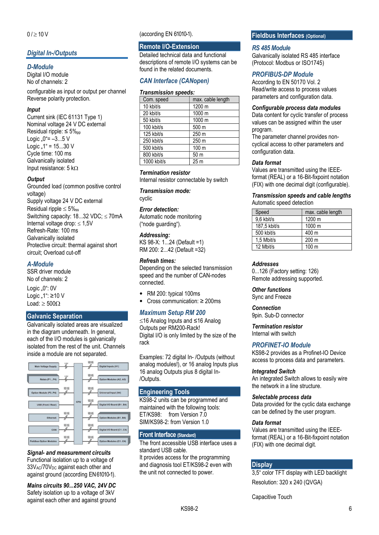### **Digital In-/Outputs**

#### D-Module

Digital I/O module No of channels: 2

configurable as input or output per channel Reverse polarity protection.

#### Input

Current sink (IEC 61131 Type 1) Nominal voltage 24 V DC external Residual ripple:  $\leq 5\%$ <sub>pp</sub> Logic  $.0^{\circ}$  =  $-3...5$  V Logic  $.1^{\circ}$  = 15 $...30$  V Cycle time: 100 ms Galvanically isolated Input resistance: 5 k $\Omega$ 

#### **Output**

Grounded load (common positive control voltage) Supply voltage 24 V DC external Residual ripple  $\leq 5\%$ ss Switching capacity:  $18...32$  VDC;  $\leq 70$ mA Internal voltage drop:  $< 1.5V$ Refresh-Rate: 100 ms Galvanically isolated Protective circuit: thermal against short circuit; Overload cut-off

#### A-Module

SSR driver module No of channels: 2

Logic  $,0$ ": 0V Logic " $1$ ": ≥10 V Load:  $> 500 \Omega$ 

#### Galvanic Separation

Galvanically isolated areas are visualized in the diagram underneath. In general, each of the I/O modules is galvanically isolated from the rest of the unit. Channels inside a module are not separated.



#### Signal- and measurement circuits

Functional isolation up to a voltage of  $33V_{AC}/70V_{DC}$  against each other and against ground (according EN 61010-1).

Mains circuits 90...250 VAC, 24V DC Safety isolation up to a voltage of 3kV against each other and against ground (according EN 61010-1).

#### Remote I/O-Extension

Detailed technical data and functional descriptions of remote I/O systems can be found in the related documents.

#### CAN Interface (CANopen)

#### Transmission speeds:

| Com. speed               | max. cable length |
|--------------------------|-------------------|
| 10 kbit/s                | 1200 m            |
| 20 kbit/s                | 1000 m            |
| 50 kbit/s                | 1000 m            |
| 100 kbit/s               | 500 m             |
| 125 kbit/s               | 250 m             |
| 250 kbit/s               | 250 m             |
| 500 kbit/s               | 100 m             |
| 800 kbit/s               | 50 m              |
| $\overline{1000}$ kbit/s | 25 <sub>m</sub>   |

#### Termination resistor

Internal resistor connectable by switch

Transmission mode: cyclic

#### Error detection:

Automatic node monitoring ("node guarding").

#### Addressing:

KS 98-X: 1...24 (Default =1) RM 200: 2...42 (Default =32)

#### Refresh times:

Depending on the selected transmission speed and the number of CAN-nodes connected.

- RM 200: typical 100ms
- Cross communication: ≥ 200ms

#### Maximum Setup RM 200

16 Analog Inputs and ≤16 Analog Outputs per RM200-Rack! Digital I/O is only limited by the size of the rack

Examples: 72 digital In- /Outputs (without analog modules!), or 16 analog Inputs plus 16 analog Outputs plus 8 digital In- /Outputs.

#### Engineering Tools

KS98-2 units can be programmed and maintained with the following tools: ET/KS98: from Version 7.0 SIM/KS98-2: from Version 1.0

#### Front Interface (Standard)

The front accessible USB interface uses a standard USB cable. It provides access for the programming and diagnosis tool ET/KS98-2 even with the unit not connected to power.

#### Fieldbus Interfaces (Optional)

#### RS 485 Module

Galvanically isolated RS 485 interface (Protocol: Modbus or ISO1745)

#### PROFIBUS-DP Module

According to EN 50170 Vol. 2 Read/write access to process values parameters and configuration data.

#### Configurable process data modules

Data content for cyclic transfer of process values can be assigned within the user program.

The parameter channel provides noncyclical access to other parameters and configuration data.

#### Data format

Values are transmitted using the IEEEformat (REAL) or a 16-Bit-fixpoint notation (FIX) with one decimal digit (configurable).

#### Transmission speeds and cable lengths Automatic speed detection

| Speed        | max. cable length |
|--------------|-------------------|
| 9,6 kbit/s   | 1200 m            |
| 187.5 kbit/s | 1000 m            |
| 500 kbit/s   | 400 m             |
| 1.5 Mbit/s   | 200 <sub>m</sub>  |
| 12 Mbit/s    | 100 <sub>m</sub>  |

#### **Addresses**

0...126 (Factory setting: 126) Remote addressing supported.

Other functions Sync and Freeze

#### **Connection**

9pin. Sub-D connector

Termination resistor Internal with switch

#### PROFINET-IO Module

KS98-2 provides as a Profinet-IO Device access to process data and parameters.

#### Integrated Switch

An integrated Switch allows to easily wire the network in a line structure.

#### Selectable process data

Data provided for the cyclic data exchange can be defined by the user program.

#### Data format

Values are transmitted using the IEEEformat (REAL) or a 16-Bit-fixpoint notation (FIX) with one decimal digit.

### **Display**

3,5" color TFT display with LED backlight Resolution: 320 x 240 (QVGA)

Capacitive Touch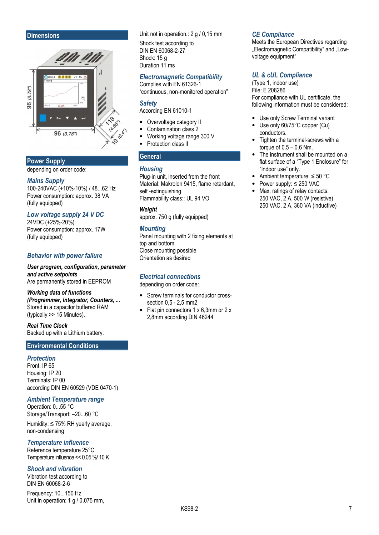#### **Dimensions**



#### Power Supply

depending on order code:

#### Mains Supply

100-240VAC (+10%-10%) / 48...62 Hz Power consumption: approx. 38 VA (fully equipped)

#### Low voltage supply 24 V DC

24VDC (+25%-20%) Power consumption: approx. 17W (fully equipped)

#### Behavior with power failure

User program, configuration, parameter and active setpoints Are permanently stored in EEPROM

#### Working data of functions (Programmer, Integrator, Counters, ... Stored in a capacitor buffered RAM (typically >> 15 Minutes).

Real Time Clock

Backed up with a Lithium battery.

#### Environmental Conditions

#### **Protection**

Front: IP 65 Housing: IP 20 Terminals: IP 00 according DIN EN 60529 (VDE 0470-1)

#### Ambient Temperature range

Operation: 0...55 °C Storage/Transport: –20...60 °C Humidity: ≤ 75% RH yearly average, non-condensing

#### Temperature influence

Reference temperature 25°C Temperature influence << 0.05 %/ 10 K

#### Shock and vibration

Vibration test according to DIN EN 60068-2-6

Frequency: 10...150 Hz Unit in operation: 1 g / 0,075 mm,

#### Unit not in operation.: 2 g / 0,15 mm

Shock test according to DIN EN 60068-2-27 Shock: 15 g Duration 11 ms

#### Electromagnetic Compatibility

Complies with EN 61326-1 "continuous, non-monitored operation"

#### **Safetv**

According EN 61010-1

- Overvoltage category II
- Contamination class 2
- Working voltage range 300 V Protection class II
- 

#### **General**

#### **Housing**

Plug-in unit, inserted from the front Material: Makrolon 9415, flame retardant, self -extinguishing Flammability class:: UL 94 VO

#### **Weight**

approx. 750 g (fully equipped)

#### **Mounting**

Panel mounting with 2 fixing elements at top and bottom. Close mounting possible Orientation as desired

#### Electrical connections

depending on order code:

- Screw terminals for conductor crosssection 0,5 - 2,5 mm2
- Flat pin connectors 1 x 6,3mm or 2 x 2,8mm according DIN 46244

#### CE Compliance

Meets the European Directives regarding "Electromagnetic Compatibility" and "Lowvoltage equipment"

#### UL & cUL Compliance

(Type 1, indoor use) File: E 208286 For compliance with UL certificate, the following information must be considered:

- Use only Screw Terminal variant
- Use only 60/75°C copper (Cu) conductors.
- Tighten the terminal-screws with a torque of 0.5 – 0.6 Nm.
- The instrument shall be mounted on a flat surface of a "Type 1 Enclosure" for "Indoor use" only.
- Ambient temperature: ≤ 50 °C
- Power supply: ≤ 250 VAC
- Max. ratings of relay contacts: 250 VAC, 2 A, 500 W (resistive) 250 VAC, 2 A, 360 VA (inductive)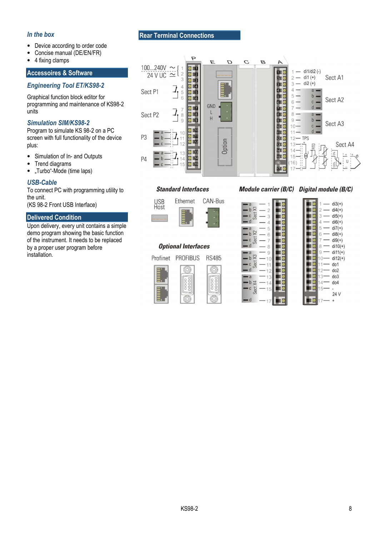#### In the box

- Device according to order code
- Concise manual (DE/EN/FR)
- 4 fixing clamps

#### Accessoires & Software

#### Engineering Tool ET/KS98-2

Graphical function block editor for programming and maintenance of KS98-2 units

#### Simulation SIM/KS98-2

Program to simulate KS 98-2 on a PC screen with full functionality of the device plus:

- Simulation of In- and Outputs
- Trend diagrams
- "Turbo"-Mode (time laps)

#### USB-Cable

To connect PC with programming utility to the unit.

(KS 98-2 Front USB Interface)

#### Delivered Condition

Upon delivery, every unit contains a simple demo program showing the basic function of the instrument. It needs to be replaced by a proper user program before installation.

#### Rear Terminal Connections



#### **Standard Interfaces**



### **Optional Interfaces**

Profinet PROFIBUS **RS485** 



#### Module carrier (B/C) Digital module (B/C)

| a                                                          |                    |  |
|------------------------------------------------------------|--------------------|--|
|                                                            | $\overline{2}$     |  |
| $\frac{1}{\sqrt{2}}\sum_{\alpha=0}^{\infty}$               | 3                  |  |
| d                                                          | $\overline{4}$     |  |
| $-a$                                                       | $-5$               |  |
|                                                            |                    |  |
|                                                            |                    |  |
| $-4$<br>$-4$<br>$-8$<br>$-8$<br>$-8$<br>$-8$               |                    |  |
| $a - a$                                                    | 9                  |  |
|                                                            |                    |  |
| $-$ b $\frac{1}{6}$<br>$-$ d $\frac{1}{6}$<br>$-$ d $-$ 11 |                    |  |
|                                                            | $-12$              |  |
| $a -$                                                      | 13                 |  |
| $-b \not\equiv -14$                                        |                    |  |
| C                                                          | $\frac{5}{9} - 15$ |  |
|                                                            |                    |  |
|                                                            |                    |  |

|   | $di3(+)$        |
|---|-----------------|
| 2 | $di4(+)$        |
| 3 | $di5(+)$        |
| Δ | $di6(+)$        |
| 5 | $di7(+)$        |
| 6 | $di8(+)$        |
|   | $di9(+)$        |
| 8 | $di10(+)$       |
| 9 | $di11(+)$       |
|   | $di12(+)$       |
|   | do1             |
|   | do <sub>2</sub> |
| 3 | do3             |
|   | do4             |
|   |                 |
|   | 24 V            |
|   |                 |
|   |                 |
|   |                 |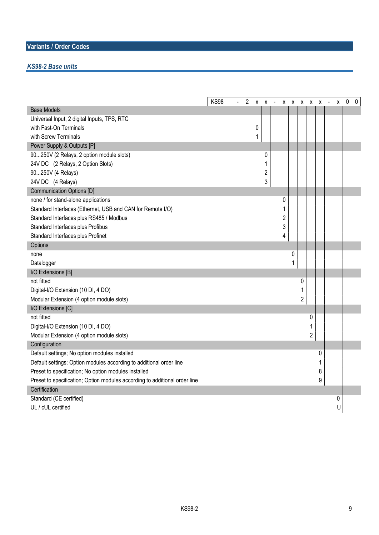#### KS98-2 Base units

|                                                                            | <b>KS98</b> | $\overline{2}$ |   | $X$ $X$ $-$ |                |   |                | x x x x x |   | $\sim$ | X | 0<br>$\pmb{0}$ |
|----------------------------------------------------------------------------|-------------|----------------|---|-------------|----------------|---|----------------|-----------|---|--------|---|----------------|
| <b>Base Models</b>                                                         |             |                |   |             |                |   |                |           |   |        |   |                |
| Universal Input, 2 digital Inputs, TPS, RTC                                |             |                |   |             |                |   |                |           |   |        |   |                |
| with Fast-On Terminals                                                     |             |                | 0 |             |                |   |                |           |   |        |   |                |
| with Screw Terminals                                                       |             |                | 1 |             |                |   |                |           |   |        |   |                |
| Power Supply & Outputs [P]                                                 |             |                |   |             |                |   |                |           |   |        |   |                |
| 90250V (2 Relays, 2 option module slots)                                   |             |                |   | 0           |                |   |                |           |   |        |   |                |
| 24V DC (2 Relays, 2 Option Slots)                                          |             |                |   | 1           |                |   |                |           |   |        |   |                |
| 90250V (4 Relays)                                                          |             |                |   | 2           |                |   |                |           |   |        |   |                |
| 24V DC (4 Relays)                                                          |             |                |   | 3           |                |   |                |           |   |        |   |                |
| Communication Options [D]                                                  |             |                |   |             |                |   |                |           |   |        |   |                |
| none / for stand-alone applications                                        |             |                |   |             | 0              |   |                |           |   |        |   |                |
| Standard Interfaces (Ethernet, USB and CAN for Remote I/O)                 |             |                |   |             |                |   |                |           |   |        |   |                |
| Standard Interfaces plus RS485 / Modbus                                    |             |                |   |             | $\overline{c}$ |   |                |           |   |        |   |                |
| Standard Interfaces plus Profibus                                          |             |                |   |             | 3              |   |                |           |   |        |   |                |
| Standard Interfaces plus Profinet                                          |             |                |   |             | 4              |   |                |           |   |        |   |                |
| Options                                                                    |             |                |   |             |                |   |                |           |   |        |   |                |
| none                                                                       |             |                |   |             |                | 0 |                |           |   |        |   |                |
| Datalogger                                                                 |             |                |   |             |                | 1 |                |           |   |        |   |                |
| I/O Extensions [B]                                                         |             |                |   |             |                |   |                |           |   |        |   |                |
| not fitted                                                                 |             |                |   |             |                |   | 0              |           |   |        |   |                |
| Digital-I/O Extension (10 DI, 4 DO)                                        |             |                |   |             |                |   |                |           |   |        |   |                |
| Modular Extension (4 option module slots)                                  |             |                |   |             |                |   | $\overline{c}$ |           |   |        |   |                |
| I/O Extensions [C]                                                         |             |                |   |             |                |   |                |           |   |        |   |                |
| not fitted                                                                 |             |                |   |             |                |   |                | 0         |   |        |   |                |
| Digital-I/O Extension (10 DI, 4 DO)                                        |             |                |   |             |                |   |                | 1         |   |        |   |                |
| Modular Extension (4 option module slots)                                  |             |                |   |             |                |   |                | 2         |   |        |   |                |
| Configuration                                                              |             |                |   |             |                |   |                |           |   |        |   |                |
| Default settings; No option modules installed                              |             |                |   |             |                |   |                |           | 0 |        |   |                |
| Default settings; Option modules according to additional order line        |             |                |   |             |                |   |                |           | 1 |        |   |                |
| Preset to specification; No option modules installed                       |             |                |   |             |                |   |                |           | 8 |        |   |                |
| Preset to specification; Option modules according to additional order line |             |                |   |             |                |   |                |           | 9 |        |   |                |
| Certification                                                              |             |                |   |             |                |   |                |           |   |        |   |                |
| Standard (CE certified)                                                    |             |                |   |             |                |   |                |           |   |        | 0 |                |
| UL / cUL certified                                                         |             |                |   |             |                |   |                |           |   |        | U |                |